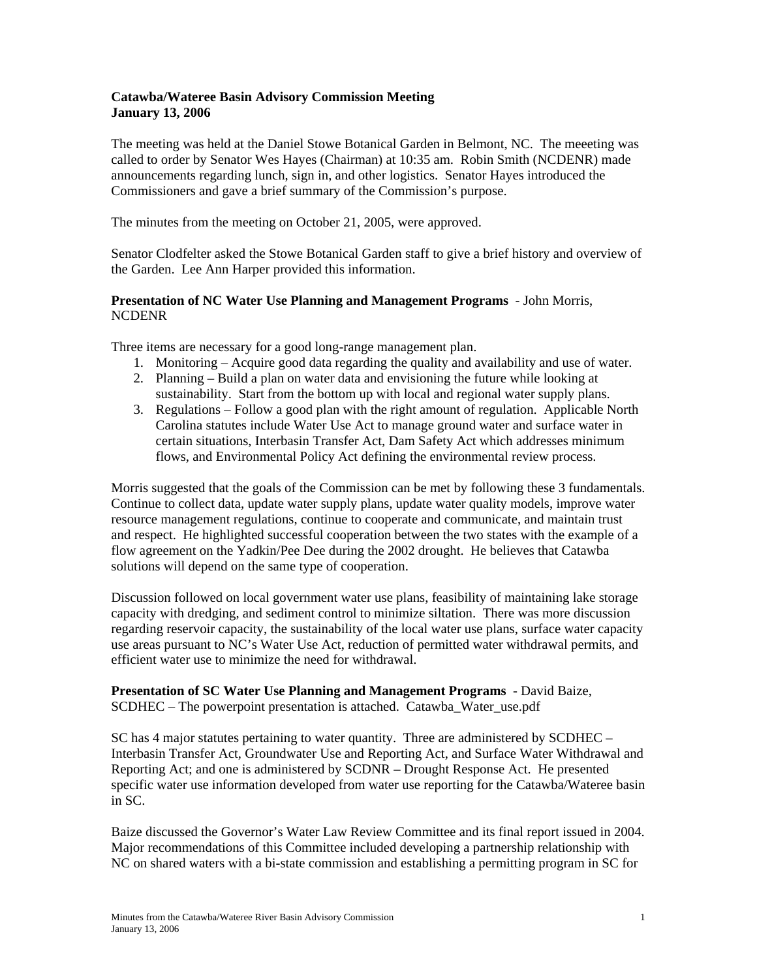## **Catawba/Wateree Basin Advisory Commission Meeting January 13, 2006**

The meeting was held at the Daniel Stowe Botanical Garden in Belmont, NC. The meeeting was called to order by Senator Wes Hayes (Chairman) at 10:35 am. Robin Smith (NCDENR) made announcements regarding lunch, sign in, and other logistics. Senator Hayes introduced the Commissioners and gave a brief summary of the Commission's purpose.

The minutes from the meeting on October 21, 2005, were approved.

Senator Clodfelter asked the Stowe Botanical Garden staff to give a brief history and overview of the Garden. Lee Ann Harper provided this information.

## **Presentation of NC Water Use Planning and Management Programs** - John Morris, NCDENR

Three items are necessary for a good long-range management plan.

- 1. Monitoring Acquire good data regarding the quality and availability and use of water.
- 2. Planning Build a plan on water data and envisioning the future while looking at sustainability. Start from the bottom up with local and regional water supply plans.
- 3. Regulations Follow a good plan with the right amount of regulation. Applicable North Carolina statutes include Water Use Act to manage ground water and surface water in certain situations, Interbasin Transfer Act, Dam Safety Act which addresses minimum flows, and Environmental Policy Act defining the environmental review process.

Morris suggested that the goals of the Commission can be met by following these 3 fundamentals. Continue to collect data, update water supply plans, update water quality models, improve water resource management regulations, continue to cooperate and communicate, and maintain trust and respect. He highlighted successful cooperation between the two states with the example of a flow agreement on the Yadkin/Pee Dee during the 2002 drought. He believes that Catawba solutions will depend on the same type of cooperation.

Discussion followed on local government water use plans, feasibility of maintaining lake storage capacity with dredging, and sediment control to minimize siltation. There was more discussion regarding reservoir capacity, the sustainability of the local water use plans, surface water capacity use areas pursuant to NC's Water Use Act, reduction of permitted water withdrawal permits, and efficient water use to minimize the need for withdrawal.

**Presentation of SC Water Use Planning and Management Programs** - David Baize, SCDHEC – The powerpoint presentation is attached. Catawba\_Water\_use.pdf

SC has 4 major statutes pertaining to water quantity. Three are administered by SCDHEC – Interbasin Transfer Act, Groundwater Use and Reporting Act, and Surface Water Withdrawal and Reporting Act; and one is administered by SCDNR – Drought Response Act. He presented specific water use information developed from water use reporting for the Catawba/Wateree basin in SC.

Baize discussed the Governor's Water Law Review Committee and its final report issued in 2004. Major recommendations of this Committee included developing a partnership relationship with NC on shared waters with a bi-state commission and establishing a permitting program in SC for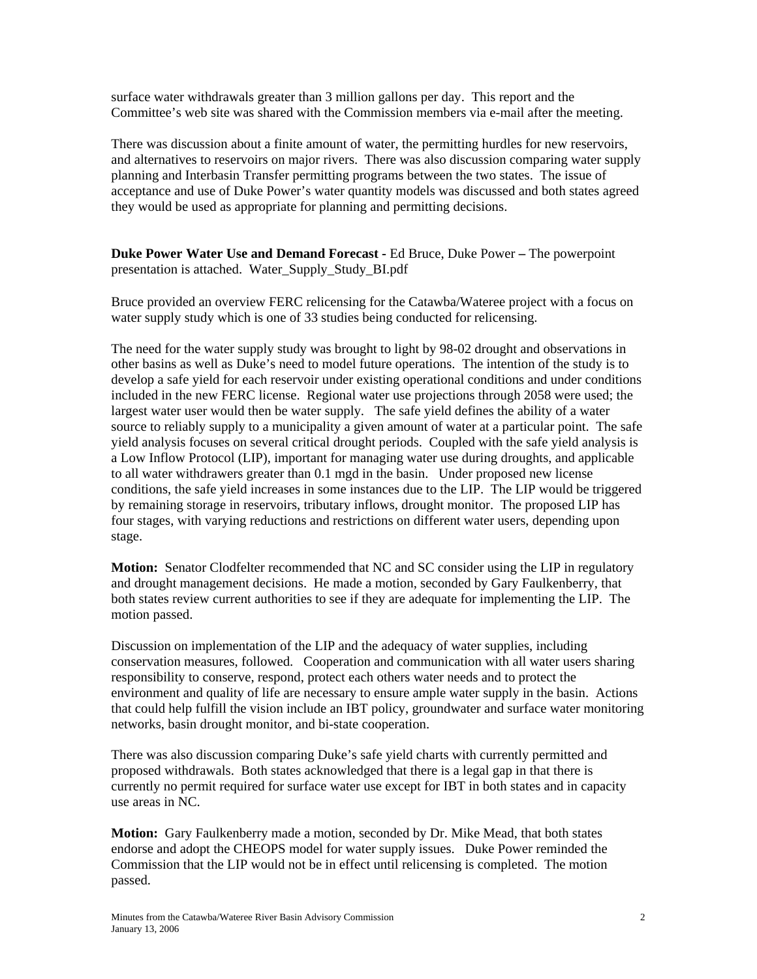surface water withdrawals greater than 3 million gallons per day. This report and the Committee's web site was shared with the Commission members via e-mail after the meeting.

There was discussion about a finite amount of water, the permitting hurdles for new reservoirs, and alternatives to reservoirs on major rivers. There was also discussion comparing water supply planning and Interbasin Transfer permitting programs between the two states. The issue of acceptance and use of Duke Power's water quantity models was discussed and both states agreed they would be used as appropriate for planning and permitting decisions.

**Duke Power Water Use and Demand Forecast -** Ed Bruce, Duke Power **–** The powerpoint presentation is attached. Water\_Supply\_Study\_BI.pdf

Bruce provided an overview FERC relicensing for the Catawba/Wateree project with a focus on water supply study which is one of 33 studies being conducted for relicensing.

The need for the water supply study was brought to light by 98-02 drought and observations in other basins as well as Duke's need to model future operations. The intention of the study is to develop a safe yield for each reservoir under existing operational conditions and under conditions included in the new FERC license. Regional water use projections through 2058 were used; the largest water user would then be water supply. The safe yield defines the ability of a water source to reliably supply to a municipality a given amount of water at a particular point. The safe yield analysis focuses on several critical drought periods. Coupled with the safe yield analysis is a Low Inflow Protocol (LIP), important for managing water use during droughts, and applicable to all water withdrawers greater than 0.1 mgd in the basin. Under proposed new license conditions, the safe yield increases in some instances due to the LIP. The LIP would be triggered by remaining storage in reservoirs, tributary inflows, drought monitor. The proposed LIP has four stages, with varying reductions and restrictions on different water users, depending upon stage.

**Motion:** Senator Clodfelter recommended that NC and SC consider using the LIP in regulatory and drought management decisions. He made a motion, seconded by Gary Faulkenberry, that both states review current authorities to see if they are adequate for implementing the LIP. The motion passed.

Discussion on implementation of the LIP and the adequacy of water supplies, including conservation measures, followed. Cooperation and communication with all water users sharing responsibility to conserve, respond, protect each others water needs and to protect the environment and quality of life are necessary to ensure ample water supply in the basin. Actions that could help fulfill the vision include an IBT policy, groundwater and surface water monitoring networks, basin drought monitor, and bi-state cooperation.

There was also discussion comparing Duke's safe yield charts with currently permitted and proposed withdrawals. Both states acknowledged that there is a legal gap in that there is currently no permit required for surface water use except for IBT in both states and in capacity use areas in NC.

**Motion:** Gary Faulkenberry made a motion, seconded by Dr. Mike Mead, that both states endorse and adopt the CHEOPS model for water supply issues. Duke Power reminded the Commission that the LIP would not be in effect until relicensing is completed. The motion passed.